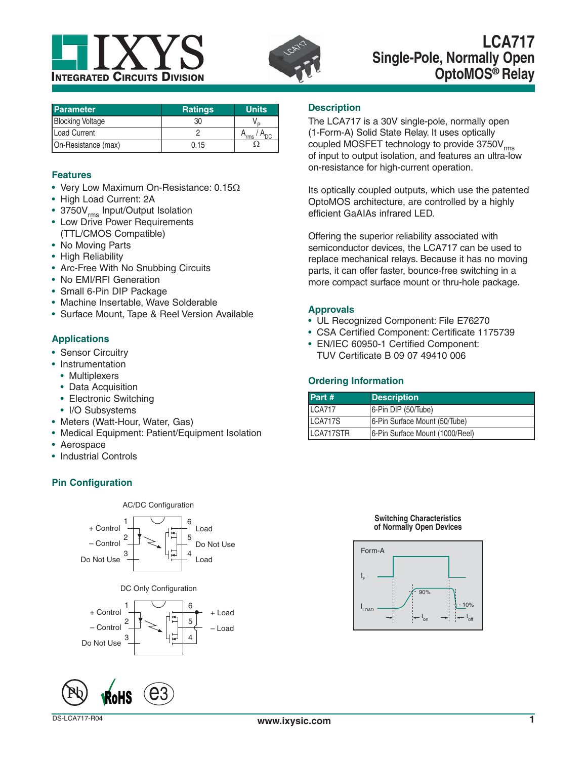



## **LCA717 Single-Pole, Normally Open OptoMOS® Relay**

| <b>Parameter</b>        | <b>Ratings</b> | <b>Units</b> |
|-------------------------|----------------|--------------|
| <b>Blocking Voltage</b> | 30             | D            |
| Load Current            |                | `'rms        |
| On-Resistance (max)     | 0.15           |              |

#### **Features**

- Very Low Maximum On-Resistance:  $0.15\Omega$
- High Load Current: 2A
- 3750V<sub>rms</sub> Input/Output Isolation
- Low Drive Power Requirements (TTL/CMOS Compatible)
- No Moving Parts
- High Reliability
- Arc-Free With No Snubbing Circuits
- No EMI/RFI Generation
- Small 6-Pin DIP Package
- Machine Insertable, Wave Solderable
- Surface Mount, Tape & Reel Version Available

#### **Applications**

- Sensor Circuitry
- Instrumentation
	- Multiplexers
	- Data Acquisition
	- Electronic Switching
	- I/O Subsystems
- Meters (Watt-Hour, Water, Gas)
- Medical Equipment: Patient/Equipment Isolation
- Aerospace
- Industrial Controls

#### **Pin Configuration**





### **Description**

The LCA717 is a 30V single-pole, normally open (1-Form-A) Solid State Relay. It uses optically coupled MOSFET technology to provide  $3750V<sub>rms</sub>$ of input to output isolation, and features an ultra-low on-resistance for high-current operation.

Its optically coupled outputs, which use the patented OptoMOS architecture, are controlled by a highly efficient GaAIAs infrared LED.

Offering the superior reliability associated with semiconductor devices, the LCA717 can be used to replace mechanical relays. Because it has no moving parts, it can offer faster, bounce-free switching in a more compact surface mount or thru-hole package.

#### **Approvals**

- UL Recognized Component: File E76270
- CSA Certified Component: Certificate 1175739
- EN/IEC 60950-1 Certified Component: TUV Certificate B 09 07 49410 006

#### **Ordering Information**

| Part #    | <b>Description</b>              |
|-----------|---------------------------------|
| LCA717    | 6-Pin DIP (50/Tube)             |
| LCA717S   | 6-Pin Surface Mount (50/Tube)   |
| LCA717STR | 6-Pin Surface Mount (1000/Reel) |

#### **Switching Characteristics of Normally Open Devices**

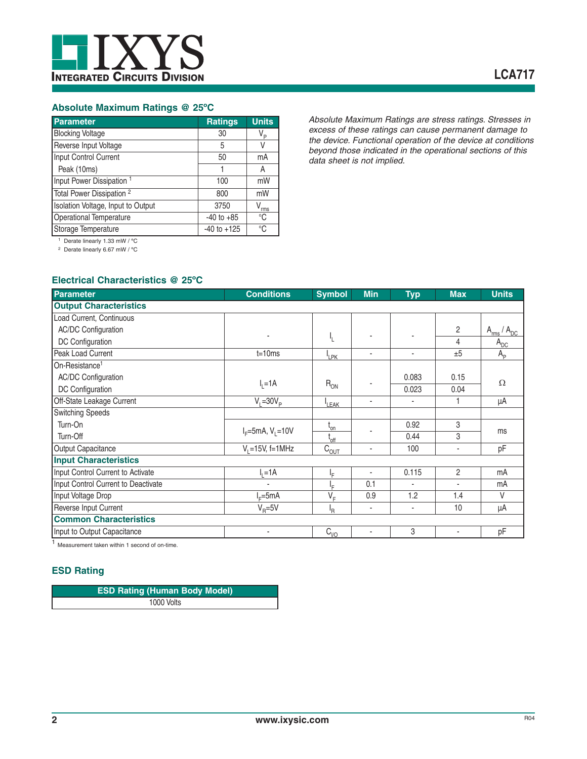

#### **Absolute Maximum Ratings @ 25ºC**

| <b>Parameter</b>                     | <b>Ratings</b>  | <b>Units</b> |
|--------------------------------------|-----------------|--------------|
| <b>Blocking Voltage</b>              | 30              | V,           |
| Reverse Input Voltage                | 5               | V            |
| Input Control Current                | 50              | mA           |
| Peak (10ms)                          |                 | Α            |
| Input Power Dissipation <sup>1</sup> | 100             | mW           |
| Total Power Dissipation <sup>2</sup> | 800             | mW           |
| Isolation Voltage, Input to Output   | 3750            | rms          |
| Operational Temperature              | $-40$ to $+85$  | °C           |
| Storage Temperature                  | $-40$ to $+125$ | °C           |

*Absolute Maximum Ratings are stress ratings. Stresses in excess of these ratings can cause permanent damage to the device. Functional operation of the device at conditions beyond those indicated in the operational sections of this data sheet is not implied.*

1 Derate linearly 1.33 mW / ºC

2 Derate linearly 6.67 mW / ºC

#### **Electrical Characteristics @ 25ºC**

| <b>Parameter</b>                    | <b>Conditions</b>      | <b>Symbol</b>                    | <b>Min</b> | <b>Typ</b> | <b>Max</b>     | <b>Units</b>            |
|-------------------------------------|------------------------|----------------------------------|------------|------------|----------------|-------------------------|
| <b>Output Characteristics</b>       |                        |                                  |            |            |                |                         |
| Load Current, Continuous            |                        |                                  |            |            |                |                         |
| <b>AC/DC Configuration</b>          |                        |                                  |            |            | $\overline{c}$ | $A_{rms}$<br>$/ A_{DC}$ |
| DC Configuration                    |                        | Ł                                |            |            | 4              | $A_{DC}$                |
| Peak Load Current                   | $t = 10ms$             | <sup>I</sup> LPK                 | ٠          | ٠          | ±5             | $A_{\rm p}$             |
| On-Resistance <sup>1</sup>          |                        |                                  |            |            |                |                         |
| <b>AC/DC Configuration</b>          |                        |                                  |            | 0.083      | 0.15           | $\Omega$                |
| DC Configuration                    | $I_1 = 1A$             | $R_{ON}$                         |            | 0.023      | 0.04           |                         |
| Off-State Leakage Current           | $V_i = 30V_p$          | <sup>I</sup> LEAK                | ٠          |            |                | μA                      |
| <b>Switching Speeds</b>             |                        |                                  |            |            |                |                         |
| Turn-On                             |                        | $\mathfrak{t}_{\mathsf{on}}$     |            | 0.92       | 3              |                         |
| Turn-Off                            | $I_F = 5mA, V_L = 10V$ | $L_{off}$                        |            | 0.44       | 3              | ms                      |
| Output Capacitance                  | $V_1 = 15V_1$ f=1MHz   | $\overline{C}_{\underline{OUT}}$ | ٠          | 100        | ٠              | pF                      |
| <b>Input Characteristics</b>        |                        |                                  |            |            |                |                         |
| Input Control Current to Activate   | $=1A$                  | ١F                               | ٠          | 0.115      | $\overline{2}$ | mA                      |
| Input Control Current to Deactivate | ٠                      | ١F                               | 0.1        | ٠          | ٠              | mA                      |
| Input Voltage Drop                  | $E=5mA$                | $V_F$                            | 0.9        | 1.2        | 1.4            | V                       |
| Reverse Input Current               | $V_{\rm B} = 5V$       | <sup>I</sup> R                   | ٠          | ٠          | 10             | μA                      |
| <b>Common Characteristics</b>       |                        |                                  |            |            |                |                         |
| Input to Output Capacitance         | $\blacksquare$         | $C_{1/2}$                        | ٠          | 3          | ٠              | pF                      |

<sup>1</sup> Measurement taken within 1 second of on-time.

#### **ESD Rating**

| <b>ESD Rating (Human Body Model)</b> |  |
|--------------------------------------|--|
| 1000 Volts                           |  |

L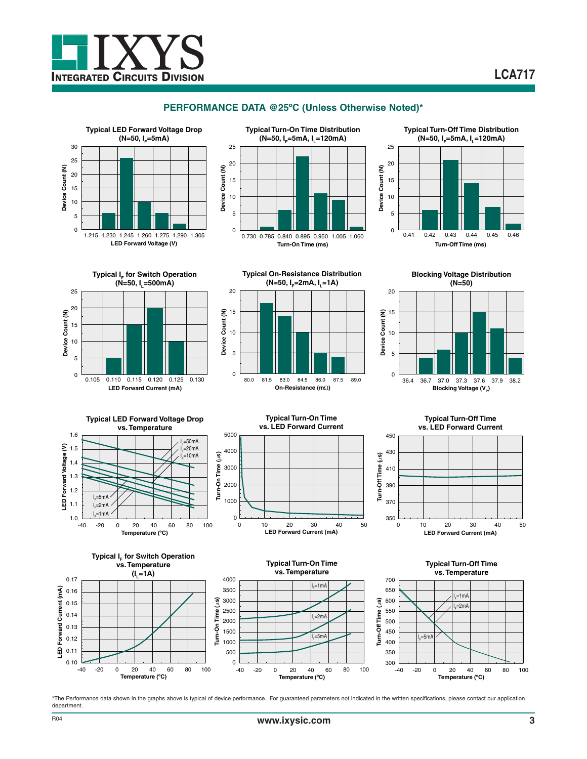

#### **PERFORMANCE DATA @25ºC (Unless Otherwise Noted)\***









**Typical On-Resistance Distribution (N=50, I<sub>F</sub>=2mA, I<sub>I</sub>=1A)** 







**Typical LED Forward Voltage Drop vs. Temperature** 1.6 l<sub>=</sub>=50mA ε 1.5 '⊧−oom"<br>I<sub>∈</sub>=20mA **LED Forward Voltage (V)** .<br>I<sub>F</sub>=10mA LED Forward Voltage 1.4 Turn-On Time 1.3 1.2 l<sub>F</sub>=5mA 1.1  $-2m\Delta$ I F l<sub>F</sub>=1mA 1.0  $\frac{L}{-40}$ -40 -20 0 20 40 60 80 100



**Typical Turn-Off Time vs. LED Forward Current** 450 430 -Off Time (µs) **Turn-Off Time (**P**s)** 410 390 É 370

0 10 20 30 40 50

 $rac{1}{0}$ 



\*The Performance data shown in the graphs above is typical of device performance. For guaranteed parameters not indicated in the written specifications, please contact our application department.

**LED Forward Current (mA)**

e

Forward Current (mA)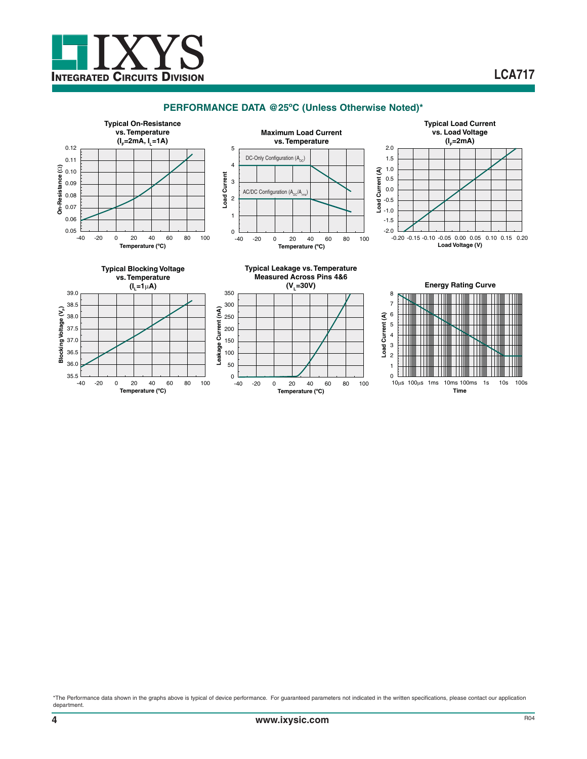

#### **PERFORMANCE DATA @25ºC (Unless Otherwise Noted)\***



\*The Performance data shown in the graphs above is typical of device performance. For guaranteed parameters not indicated in the written specifications, please contact our application department.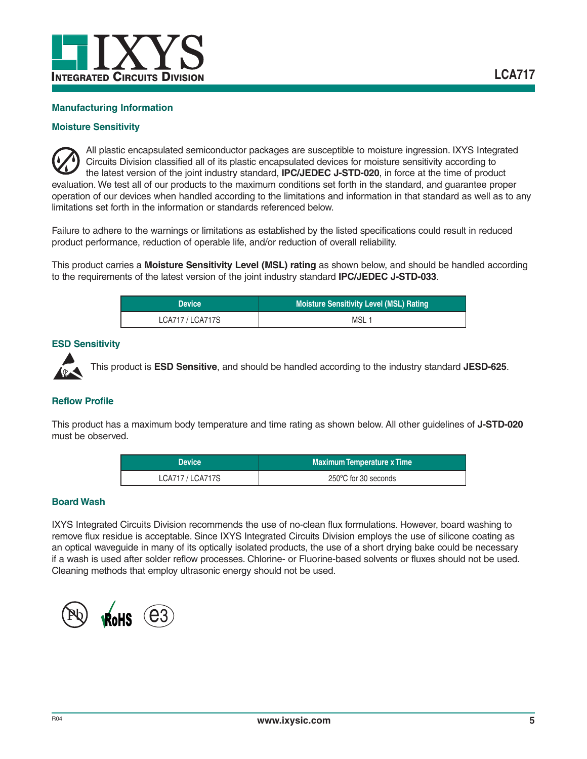

#### **Manufacturing Information**

#### **Moisture Sensitivity**

All plastic encapsulated semiconductor packages are susceptible to moisture ingression. IXYS Integrated Circuits Division classified all of its plastic encapsulated devices for moisture sensitivity according to the latest version of the joint industry standard, **IPC/JEDEC J-STD-020**, in force at the time of product evaluation. We test all of our products to the maximum conditions set forth in the standard, and guarantee proper operation of our devices when handled according to the limitations and information in that standard as well as to any limitations set forth in the information or standards referenced below.

Failure to adhere to the warnings or limitations as established by the listed specifications could result in reduced product performance, reduction of operable life, and/or reduction of overall reliability.

This product carries a **Moisture Sensitivity Level (MSL) rating** as shown below, and should be handled according to the requirements of the latest version of the joint industry standard **IPC/JEDEC J-STD-033**.

| <b>Device</b> '  | <b>Moisture Sensitivity Level (MSL) Rating</b> |
|------------------|------------------------------------------------|
| LCA717 / LCA717S | MSL                                            |

#### **ESD Sensitivity**



This product is **ESD Sensitive**, and should be handled according to the industry standard **JESD-625**.

#### **Reflow Profile**

This product has a maximum body temperature and time rating as shown below. All other guidelines of **J-STD-020** must be observed.

| <b>Device</b>    | <b>Maximum Temperature x Time</b> |
|------------------|-----------------------------------|
| LCA717 / LCA717S | 250°C for 30 seconds              |

#### **Board Wash**

IXYS Integrated Circuits Division recommends the use of no-clean flux formulations. However, board washing to remove flux residue is acceptable. Since IXYS Integrated Circuits Division employs the use of silicone coating as an optical waveguide in many of its optically isolated products, the use of a short drying bake could be necessary if a wash is used after solder reflow processes. Chlorine- or Fluorine-based solvents or fluxes should not be used. Cleaning methods that employ ultrasonic energy should not be used.

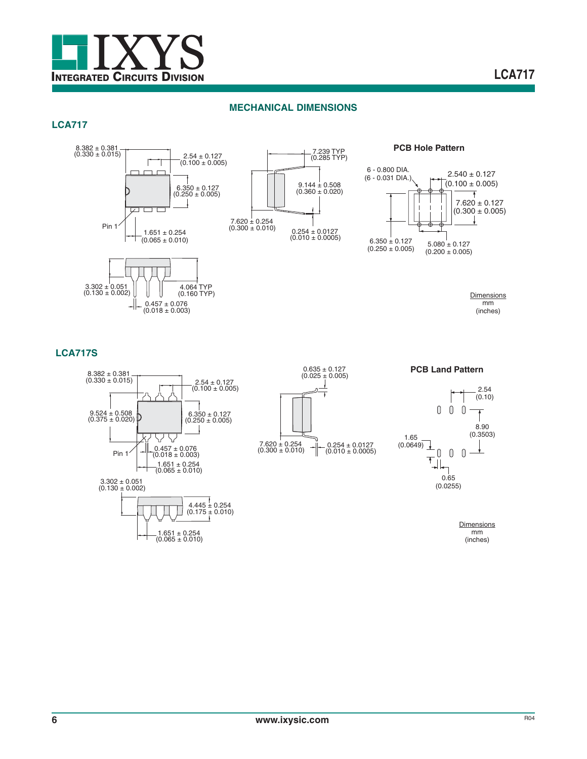

#### **MECHANICAL DIMENSIONS**

#### **LCA717**







**Dimensions** mm (inches)

#### **LCA717S**









**PCB Land Pattern**

**Dimensions** mm (inches)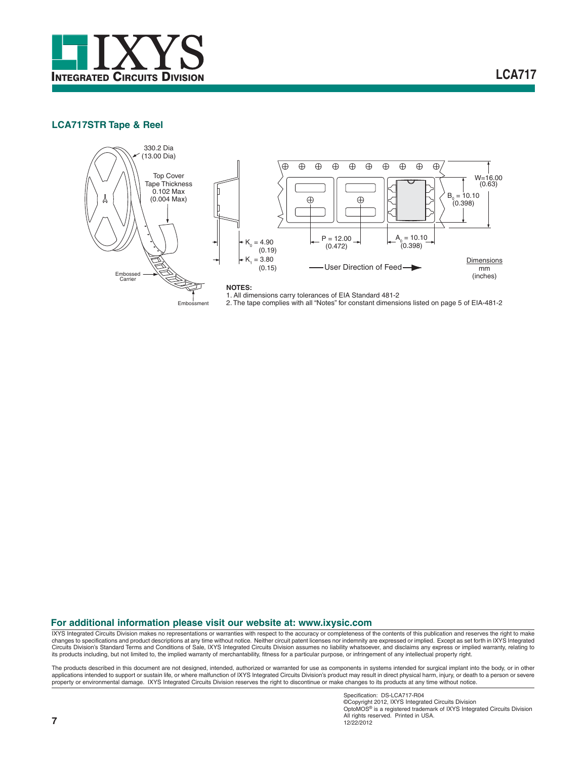

**LCA717**

#### **LCA717STR Tape & Reel**



#### **For additional information please visit our website at: www.ixysic.com**

IXYS Integrated Circuits Division makes no representations or warranties with respect to the accuracy or completeness of the contents of this publication and reserves the right to make<br>changes to specifications and product Circuits Division's Standard Terms and Conditions of Sale, IXYS Integrated Circuits Division assumes no liability whatsoever, and disclaims any express or implied warranty, relating to its products including, but not limited to, the implied warranty of merchantability, fitness for a particular purpose, or infringement of any intellectual property right.

The products described in this document are not designed, intended, authorized or warranted for use as components in systems intended for surgical implant into the body, or in other applications intended to support or sustain life, or where malfunction of IXYS Integrated Circuits Division's product may result in direct physical harm, injury, or death to a person or severe property or environmental damage. IXYS Integrated Circuits Division reserves the right to discontinue or make changes to its products at any time without notice.